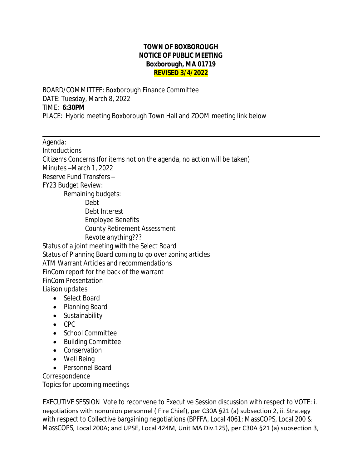## **TOWN OF BOXBOROUGH NOTICE OF PUBLIC MEETING Boxborough, MA 01719 REVISED 3/4/2022**

BOARD/COMMITTEE: Boxborough Finance Committee DATE: Tuesday, March 8, 2022 TIME: **6:30PM** PLACE: Hybrid meeting Boxborough Town Hall and ZOOM meeting link below

Agenda:

 $\overline{a}$ 

**Introductions** Citizen's Concerns (for items not on the agenda, no action will be taken) Minutes –March 1, 2022 Reserve Fund Transfers – FY23 Budget Review: Remaining budgets: Debt Debt Interest Employee Benefits County Retirement Assessment Revote anything??? Status of a joint meeting with the Select Board Status of Planning Board coming to go over zoning articles ATM Warrant Articles and recommendations FinCom report for the back of the warrant FinCom Presentation Liaison updates

- Select Board
- Planning Board
- Sustainability
- $\bullet$  CPC
- School Committee
- Building Committee
- Conservation
- Well Being
- Personnel Board

Correspondence

Topics for upcoming meetings

EXECUTIVE SESSION Vote to reconvene to Executive Session discussion with respect to VOTE: i. negotiations with nonunion personnel ( Fire Chief), per C30A §21 (a) subsection 2, ii. Strategy with respect to Collective bargaining negotiations (BPFFA, Local 4061; MassCOPS, Local 200 & MassCOPS, Local 200A; and UPSE, Local 424M, Unit MA Div.125), per C30A §21 (a) subsection 3,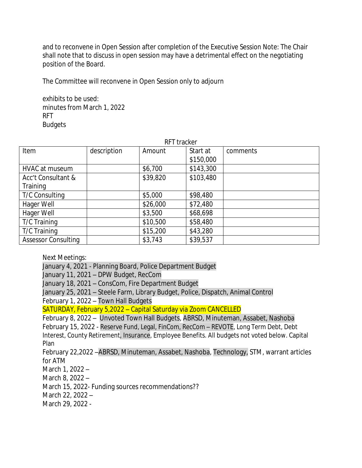and to reconvene in Open Session after completion of the Executive Session Note: The Chair shall note that to discuss in open session may have a detrimental effect on the negotiating position of the Board.

The Committee will reconvene in Open Session only to adjourn

exhibits to be used: minutes from March 1, 2022 RFT **Budgets** 

| RFT tracker                |             |          |           |          |
|----------------------------|-------------|----------|-----------|----------|
| Item                       | description | Amount   | Start at  | comments |
|                            |             |          | \$150,000 |          |
| HVAC at museum             |             | \$6,700  | \$143,300 |          |
| Acc't Consultant &         |             | \$39,820 | \$103,480 |          |
| Training                   |             |          |           |          |
| T/C Consulting             |             | \$5,000  | \$98,480  |          |
| Hager Well                 |             | \$26,000 | \$72,480  |          |
| Hager Well                 |             | \$3,500  | \$68,698  |          |
| T/C Training               |             | \$10,500 | \$58,480  |          |
| T/C Training               |             | \$15,200 | \$43,280  |          |
| <b>Assessor Consulting</b> |             | \$3,743  | \$39,537  |          |

Next Meetings:

January 4, 2021 - Planning Board, Police Department Budget January 11, 2021 – DPW Budget, RecCom January 18, 2021 – ConsCom, Fire Department Budget January 25, 2021 – Steele Farm, Library Budget, Police, Dispatch, Animal Control February 1, 2022 – Town Hall Budgets SATURDAY, February 5,2022 – Capital Saturday via Zoom CANCELLED February 8, 2022 – Unvoted Town Hall Budgets, ABRSD, Minuteman, Assabet, Nashoba February 15, 2022 - Reserve Fund, Legal, FinCom, RecCom – REVOTE, Long Term Debt, Debt Interest, County Retirement, Insurance, Employee Benefits. All budgets not voted below. Capital Plan February 22,2022 –ABRSD, Minuteman, Assabet, Nashoba, Technology, STM, warrant articles for ATM March 1, 2022 – March 8, 2022 – March 15, 2022- Funding sources recommendations??

March 22, 2022 –

March 29, 2022 -